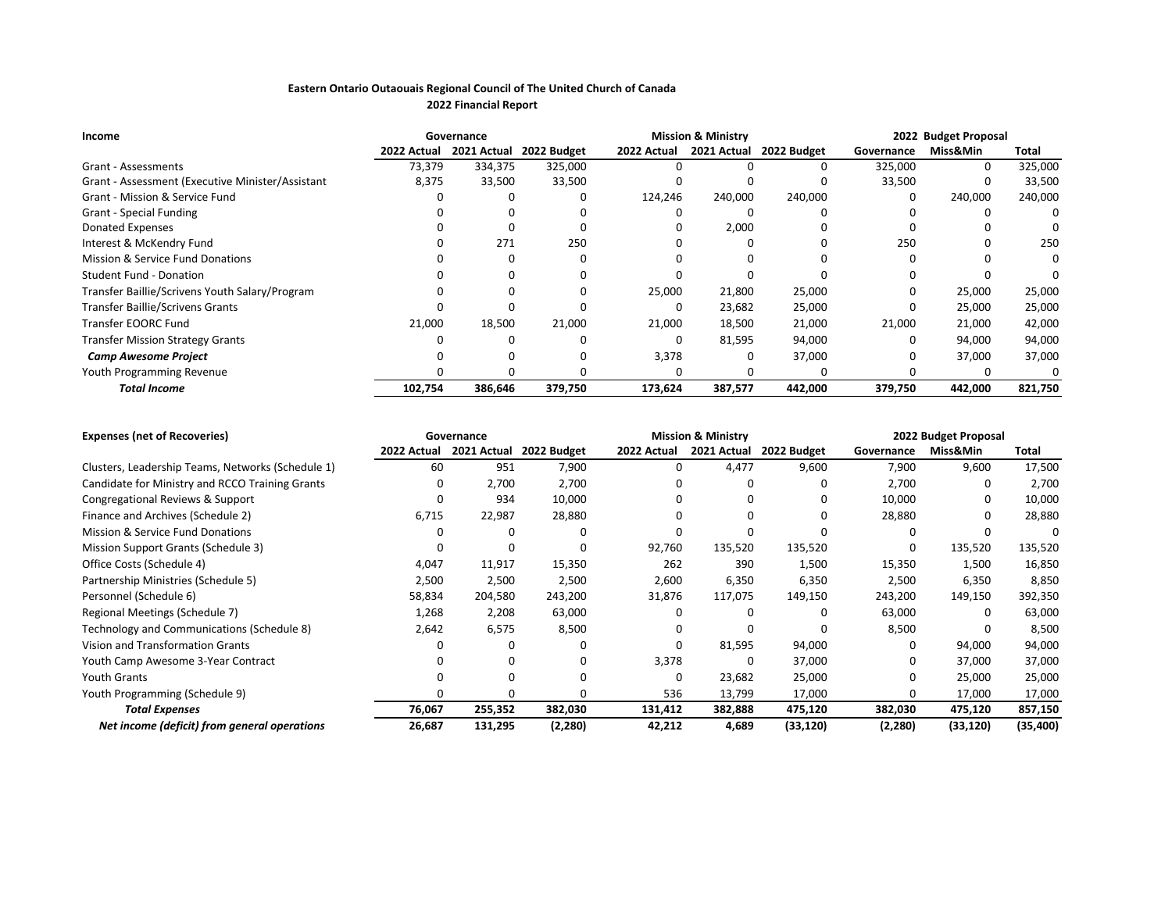## **Eastern Ontario Outaouais Regional Council of The United Church of Canada 2022 Financial Report**

| Income                                           | Governance  |             |             | <b>Mission &amp; Ministry</b> |             | 2022 Budget Proposal |            |          |         |
|--------------------------------------------------|-------------|-------------|-------------|-------------------------------|-------------|----------------------|------------|----------|---------|
|                                                  | 2022 Actual | 2021 Actual | 2022 Budget | 2022 Actual                   | 2021 Actual | 2022 Budget          | Governance | Miss&Min | Total   |
| Grant - Assessments                              | 73,379      | 334,375     | 325,000     |                               |             |                      | 325,000    | 0        | 325,000 |
| Grant - Assessment (Executive Minister/Assistant | 8,375       | 33,500      | 33,500      |                               |             |                      | 33,500     |          | 33,500  |
| Grant - Mission & Service Fund                   |             |             |             | 124,246                       | 240,000     | 240,000              | 0          | 240,000  | 240,000 |
| <b>Grant - Special Funding</b>                   |             |             |             |                               |             |                      |            |          |         |
| Donated Expenses                                 |             |             |             |                               | 2,000       |                      |            |          |         |
| Interest & McKendry Fund                         |             | 271         | 250         |                               |             |                      | 250        |          | 250     |
| Mission & Service Fund Donations                 |             | 0           |             |                               |             |                      |            |          |         |
| <b>Student Fund - Donation</b>                   |             |             |             |                               |             |                      |            |          |         |
| Transfer Baillie/Scrivens Youth Salary/Program   |             | 0           |             | 25,000                        | 21,800      | 25,000               |            | 25,000   | 25,000  |
| Transfer Baillie/Scrivens Grants                 |             |             |             |                               | 23,682      | 25,000               |            | 25,000   | 25,000  |
| Transfer EOORC Fund                              | 21,000      | 18,500      | 21,000      | 21,000                        | 18,500      | 21,000               | 21,000     | 21,000   | 42,000  |
| <b>Transfer Mission Strategy Grants</b>          |             |             |             | 0                             | 81,595      | 94,000               | 0          | 94,000   | 94,000  |
| <b>Camp Awesome Project</b>                      |             |             |             | 3,378                         |             | 37,000               |            | 37,000   | 37,000  |
| Youth Programming Revenue                        |             | O           |             |                               |             |                      |            |          |         |
| <b>Total Income</b>                              | 102,754     | 386,646     | 379,750     | 173,624                       | 387,577     | 442,000              | 379,750    | 442,000  | 821,750 |

| <b>Expenses (net of Recoveries)</b>               |             | Governance  |             |             | <b>Mission &amp; Ministry</b> |             | 2022 Budget Proposal |           |          |  |
|---------------------------------------------------|-------------|-------------|-------------|-------------|-------------------------------|-------------|----------------------|-----------|----------|--|
|                                                   | 2022 Actual | 2021 Actual | 2022 Budget | 2022 Actual | 2021 Actual                   | 2022 Budget | Governance           | Miss&Min  | Total    |  |
| Clusters, Leadership Teams, Networks (Schedule 1) | 60          | 951         | 7,900       | 0           | 4,477                         | 9,600       | 7,900                | 9,600     | 17,500   |  |
| Candidate for Ministry and RCCO Training Grants   | O           | 2,700       | 2,700       |             |                               |             | 2,700                |           | 2,700    |  |
| Congregational Reviews & Support                  |             | 934         | 10,000      |             |                               |             | 10,000               |           | 10,000   |  |
| Finance and Archives (Schedule 2)                 | 6,715       | 22,987      | 28,880      |             |                               |             | 28,880               |           | 28,880   |  |
| Mission & Service Fund Donations                  |             |             | n           |             |                               |             |                      |           |          |  |
| Mission Support Grants (Schedule 3)               |             |             | n           | 92,760      | 135,520                       | 135,520     | 0                    | 135,520   | 135,520  |  |
| Office Costs (Schedule 4)                         | 4,047       | 11,917      | 15,350      | 262         | 390                           | 1,500       | 15,350               | 1,500     | 16,850   |  |
| Partnership Ministries (Schedule 5)               | 2,500       | 2,500       | 2,500       | 2,600       | 6,350                         | 6,350       | 2,500                | 6,350     | 8,850    |  |
| Personnel (Schedule 6)                            | 58,834      | 204,580     | 243,200     | 31,876      | 117,075                       | 149,150     | 243,200              | 149,150   | 392,350  |  |
| Regional Meetings (Schedule 7)                    | 1,268       | 2,208       | 63,000      |             |                               |             | 63,000               | 0         | 63,000   |  |
| Technology and Communications (Schedule 8)        | 2,642       | 6,575       | 8,500       |             |                               |             | 8,500                |           | 8,500    |  |
| Vision and Transformation Grants                  |             |             | O           | 0           | 81,595                        | 94,000      | 0                    | 94,000    | 94,000   |  |
| Youth Camp Awesome 3-Year Contract                |             |             | n           | 3,378       |                               | 37,000      | 0                    | 37,000    | 37,000   |  |
| Youth Grants                                      |             |             |             | O           | 23,682                        | 25,000      | 0                    | 25,000    | 25,000   |  |
| Youth Programming (Schedule 9)                    |             |             | 0           | 536         | 13,799                        | 17,000      | 0                    | 17,000    | 17,000   |  |
| <b>Total Expenses</b>                             | 76,067      | 255,352     | 382,030     | 131,412     | 382,888                       | 475,120     | 382,030              | 475,120   | 857,150  |  |
| Net income (deficit) from general operations      | 26,687      | 131,295     | (2,280)     | 42,212      | 4,689                         | (33, 120)   | (2, 280)             | (33, 120) | (35,400) |  |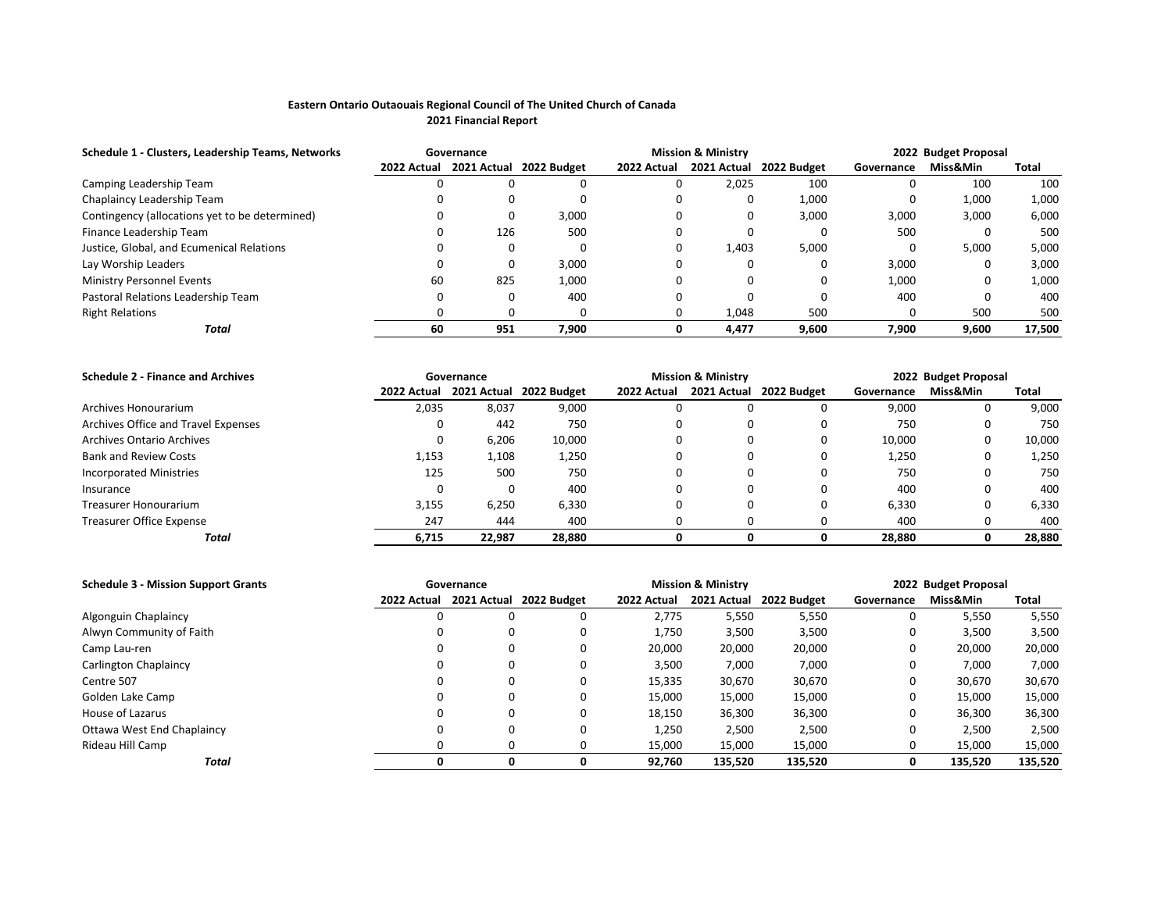## **Eastern Ontario Outaouais Regional Council of The United Church of Canada 2021 Financial Report**

| Schedule 1 - Clusters, Leadership Teams, Networks | <b>Mission &amp; Ministry</b><br>Governance |     |                         |             |             | 2022 Budget Proposal |              |          |        |
|---------------------------------------------------|---------------------------------------------|-----|-------------------------|-------------|-------------|----------------------|--------------|----------|--------|
|                                                   | 2022 Actual                                 |     | 2021 Actual 2022 Budget | 2022 Actual | 2021 Actual | 2022 Budget          | Governance   | Miss&Min | Total  |
| Camping Leadership Team                           |                                             |     | 0                       |             | 2,025       | 100                  |              | 100      | 100    |
| Chaplaincy Leadership Team                        |                                             |     |                         |             |             | 1,000                | 0            | 1,000    | 1,000  |
| Contingency (allocations yet to be determined)    |                                             |     | 3,000                   | O           |             | 3,000                | 3,000        | 3,000    | 6,000  |
| Finance Leadership Team                           |                                             | 126 | 500                     |             |             | 0                    | 500          |          | 500    |
| Justice, Global, and Ecumenical Relations         |                                             |     | 0                       | 0           | 1.403       | 5,000                | O            | 5,000    | 5,000  |
| Lay Worship Leaders                               |                                             |     | 3,000                   |             |             | 0                    | 3,000        |          | 3,000  |
| <b>Ministry Personnel Events</b>                  | 60                                          | 825 | 1,000                   |             |             | 0                    | 1,000        |          | 1,000  |
| Pastoral Relations Leadership Team                |                                             |     | 400                     |             |             |                      | 400          |          | 400    |
| <b>Right Relations</b>                            |                                             |     | 0                       |             | 1,048       | 500                  | <sup>0</sup> | 500      | 500    |
| Total                                             | 60                                          | 951 | 7.900                   | 0           | 4.477       | 9,600                | 7.900        | 9,600    | 17,500 |

| <b>Schedule 2 - Finance and Archives</b> |             | <b>Mission &amp; Ministry</b><br>Governance |                         |             |   | 2022 Budget Proposal    |            |          |        |
|------------------------------------------|-------------|---------------------------------------------|-------------------------|-------------|---|-------------------------|------------|----------|--------|
|                                          | 2022 Actual |                                             | 2021 Actual 2022 Budget | 2022 Actual |   | 2021 Actual 2022 Budget | Governance | Miss&Min | Total  |
| Archives Honourarium                     | 2,035       | 8,037                                       | 9,000                   |             |   |                         | 9,000      |          | 9,000  |
| Archives Office and Travel Expenses      |             | 442                                         | 750                     |             | 0 |                         | 750        |          | 750    |
| <b>Archives Ontario Archives</b>         | 0           | 6,206                                       | 10,000                  |             | 0 |                         | 10,000     |          | 10,000 |
| <b>Bank and Review Costs</b>             | 1,153       | 1,108                                       | 1,250                   |             | 0 |                         | 1,250      |          | 1,250  |
| <b>Incorporated Ministries</b>           | 125         | 500                                         | 750                     |             | 0 |                         | 750        |          | 750    |
| Insurance                                |             |                                             | 400                     |             |   |                         | 400        |          | 400    |
| Treasurer Honourarium                    | 3,155       | 6,250                                       | 6,330                   |             | 0 |                         | 6,330      |          | 6,330  |
| Treasurer Office Expense                 | 247         | 444                                         | 400                     |             | 0 |                         | 400        |          | 400    |
| Total                                    | 6,715       | 22.987                                      | 28,880                  |             |   |                         | 28,880     |          | 28,880 |

| <b>Schedule 3 - Mission Support Grants</b> |             | <b>Mission &amp; Ministry</b><br>Governance |             |             |             |             | 2022 Budget Proposal |          |         |  |
|--------------------------------------------|-------------|---------------------------------------------|-------------|-------------|-------------|-------------|----------------------|----------|---------|--|
|                                            | 2022 Actual | 2021 Actual                                 | 2022 Budget | 2022 Actual | 2021 Actual | 2022 Budget | Governance           | Miss&Min | Total   |  |
| Algonguin Chaplaincy                       |             | 0                                           |             | 2.775       | 5,550       | 5,550       | 0                    | 5,550    | 5,550   |  |
| Alwyn Community of Faith                   |             | 0                                           |             | 1,750       | 3,500       | 3,500       | 0                    | 3,500    | 3,500   |  |
| Camp Lau-ren                               |             | 0                                           | 0           | 20,000      | 20,000      | 20,000      | 0                    | 20,000   | 20,000  |  |
| Carlington Chaplaincy                      |             | 0                                           | 0           | 3,500       | 7,000       | 7,000       | 0                    | 7,000    | 7,000   |  |
| Centre 507                                 |             | 0                                           |             | 15,335      | 30,670      | 30,670      | 0                    | 30,670   | 30,670  |  |
| Golden Lake Camp                           |             | 0                                           | 0           | 15,000      | 15,000      | 15,000      | 0                    | 15,000   | 15,000  |  |
| House of Lazarus                           |             | 0                                           |             | 18,150      | 36,300      | 36,300      | 0                    | 36,300   | 36,300  |  |
| Ottawa West End Chaplaincy                 |             | 0                                           |             | 1,250       | 2,500       | 2,500       | 0                    | 2,500    | 2,500   |  |
| Rideau Hill Camp                           |             | 0                                           |             | 15,000      | 15,000      | 15,000      | 0                    | 15,000   | 15,000  |  |
| Total                                      |             | 0                                           |             | 92.760      | 135.520     | 135,520     |                      | 135,520  | 135,520 |  |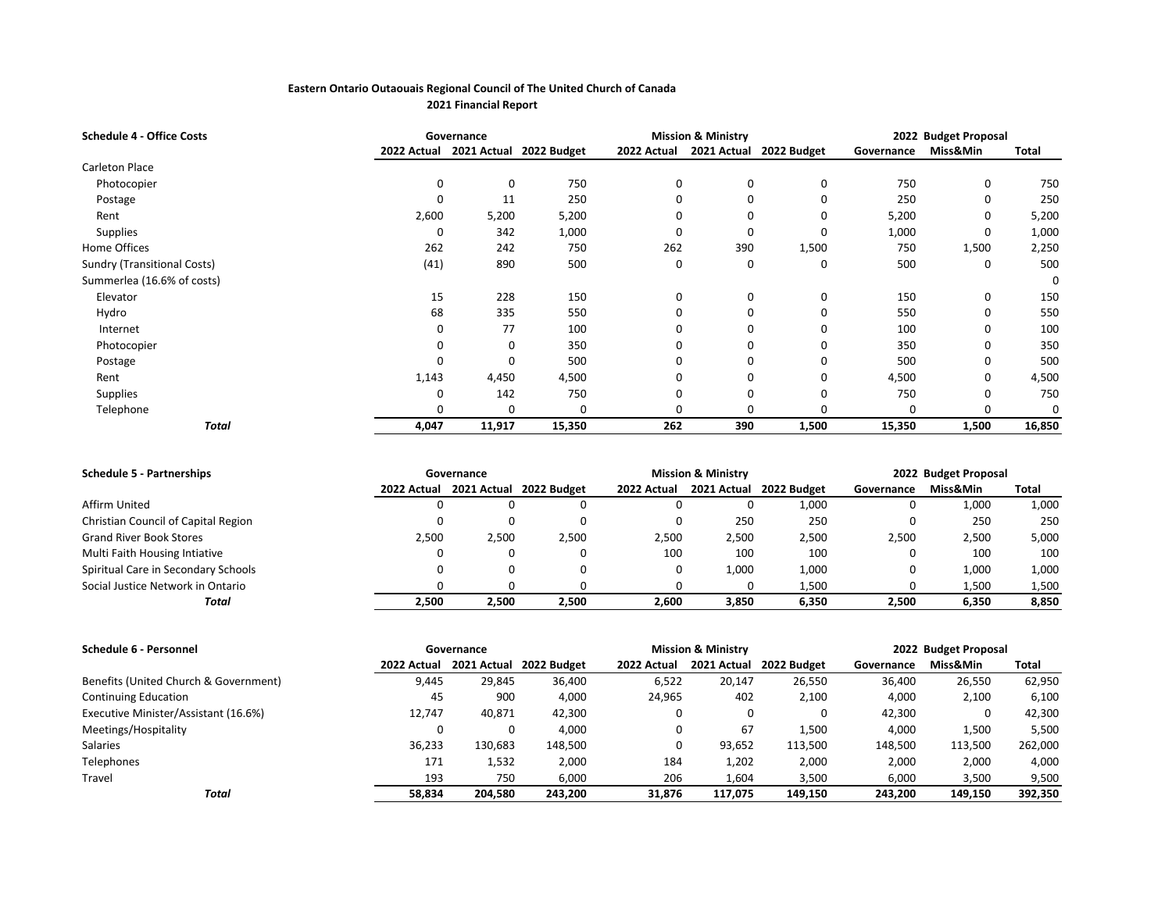## **Eastern Ontario Outaouais Regional Council of The United Church of Canada 2021 Financial Report**

| <b>Schedule 4 - Office Costs</b>   | <b>Mission &amp; Ministry</b><br>Governance |             |             |             |             |             | 2022 Budget Proposal |          |          |
|------------------------------------|---------------------------------------------|-------------|-------------|-------------|-------------|-------------|----------------------|----------|----------|
|                                    | 2022 Actual                                 | 2021 Actual | 2022 Budget | 2022 Actual | 2021 Actual | 2022 Budget | Governance           | Miss&Min | Total    |
| Carleton Place                     |                                             |             |             |             |             |             |                      |          |          |
| Photocopier                        | 0                                           | 0           | 750         | 0           | 0           | 0           | 750                  | 0        | 750      |
| Postage                            | 0                                           | 11          | 250         |             | 0           | 0           | 250                  | 0        | 250      |
| Rent                               | 2,600                                       | 5,200       | 5,200       |             | 0           | 0           | 5,200                | 0        | 5,200    |
| Supplies                           | 0                                           | 342         | 1,000       |             | 0           | 0           | 1,000                | 0        | 1,000    |
| Home Offices                       | 262                                         | 242         | 750         | 262         | 390         | 1,500       | 750                  | 1,500    | 2,250    |
| <b>Sundry (Transitional Costs)</b> | (41)                                        | 890         | 500         | 0           | 0           | 0           | 500                  | 0        | 500      |
| Summerlea (16.6% of costs)         |                                             |             |             |             |             |             |                      |          | 0        |
| Elevator                           | 15                                          | 228         | 150         | $\Omega$    | 0           | 0           | 150                  | 0        | 150      |
| Hydro                              | 68                                          | 335         | 550         |             | 0           | 0           | 550                  | 0        | 550      |
| Internet                           | 0                                           | 77          | 100         |             | 0           | O           | 100                  | 0        | 100      |
| Photocopier                        |                                             | 0           | 350         |             | 0           | O           | 350                  | O        | 350      |
| Postage                            | 0                                           | 0           | 500         |             | 0           | 0           | 500                  | 0        | 500      |
| Rent                               | 1,143                                       | 4,450       | 4,500       |             | 0           | 0           | 4,500                | 0        | 4,500    |
| Supplies                           | 0                                           | 142         | 750         |             | 0           | 0           | 750                  | O        | 750      |
| Telephone                          | O                                           | O           | $\Omega$    |             | O           |             |                      | O        | $\Omega$ |
| Total                              | 4,047                                       | 11,917      | 15,350      | 262         | 390         | 1,500       | 15,350               | 1,500    | 16,850   |

| <b>Schedule 5 - Partnerships</b>    |             | Governance |                         |             | <b>Mission &amp; Ministry</b> |             | 2022 Budget Proposal |          |       |  |
|-------------------------------------|-------------|------------|-------------------------|-------------|-------------------------------|-------------|----------------------|----------|-------|--|
|                                     | 2022 Actual |            | 2021 Actual 2022 Budget | 2022 Actual | 2021 Actual                   | 2022 Budget | Governance           | Miss&Min | Total |  |
| Affirm United                       |             |            | 0                       |             |                               | 1,000       |                      | 1,000    | 1,000 |  |
| Christian Council of Capital Region |             |            | 0                       |             | 250                           | 250         |                      | 250      | 250   |  |
| <b>Grand River Book Stores</b>      | 2,500       | 2,500      | 2,500                   | 2,500       | 2,500                         | 2,500       | 2,500                | 2,500    | 5,000 |  |
| Multi Faith Housing Intiative       |             |            | 0                       | 100         | 100                           | 100         |                      | 100      | 100   |  |
| Spiritual Care in Secondary Schools |             |            | 0                       |             | 1,000                         | 1,000       |                      | 1,000    | 1,000 |  |
| Social Justice Network in Ontario   |             |            |                         |             |                               | 1,500       |                      | 1,500    | 1,500 |  |
| Total                               | 2.500       | 2.500      | 2.500                   | 2.600       | 3.850                         | 6.350       | 2,500                | 6,350    | 8,850 |  |

| Schedule 6 - Personnel                |             | <b>Mission &amp; Ministry</b><br>Governance |                         |             |             |             | 2022 Budget Proposal |          |         |  |
|---------------------------------------|-------------|---------------------------------------------|-------------------------|-------------|-------------|-------------|----------------------|----------|---------|--|
|                                       | 2022 Actual |                                             | 2021 Actual 2022 Budget | 2022 Actual | 2021 Actual | 2022 Budget | Governance           | Miss&Min | Total   |  |
| Benefits (United Church & Government) | 9,445       | 29.845                                      | 36,400                  | 6,522       | 20,147      | 26,550      | 36,400               | 26,550   | 62,950  |  |
| <b>Continuing Education</b>           | 45          | 900                                         | 4,000                   | 24,965      | 402         | 2,100       | 4,000                | 2,100    | 6,100   |  |
| Executive Minister/Assistant (16.6%)  | 12.747      | 40,871                                      | 42,300                  |             | 0           | 0           | 42,300               |          | 42,300  |  |
| Meetings/Hospitality                  |             |                                             | 4,000                   |             | 67          | 1,500       | 4,000                | 1,500    | 5,500   |  |
| Salaries                              | 36,233      | 130,683                                     | 148,500                 |             | 93,652      | 113,500     | 148,500              | 113,500  | 262,000 |  |
| Telephones                            | 171         | 1,532                                       | 2,000                   | 184         | 1,202       | 2,000       | 2,000                | 2,000    | 4,000   |  |
| Travel                                | 193         | 750                                         | 6,000                   | 206         | 1,604       | 3,500       | 6,000                | 3,500    | 9,500   |  |
| Total                                 | 58.834      | 204.580                                     | 243,200                 | 31,876      | 117.075     | 149,150     | 243.200              | 149.150  | 392,350 |  |